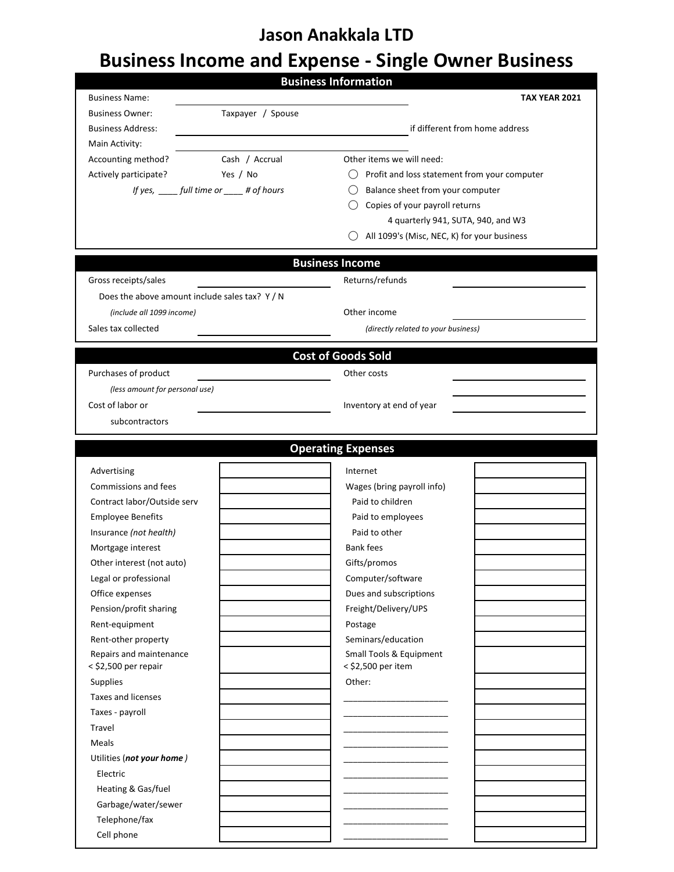## **Jason Anakkala LTD**

# **Business Income and Expense - Single Owner Business**

|                                              |                                           | <b>Business Information</b>                                                       |                      |
|----------------------------------------------|-------------------------------------------|-----------------------------------------------------------------------------------|----------------------|
| <b>Business Name:</b>                        |                                           |                                                                                   | <b>TAX YEAR 2021</b> |
| <b>Business Owner:</b>                       | Taxpayer / Spouse                         |                                                                                   |                      |
| <b>Business Address:</b>                     |                                           | if different from home address                                                    |                      |
| Main Activity:                               |                                           |                                                                                   |                      |
| Accounting method?                           | Cash / Accrual                            | Other items we will need:                                                         |                      |
| Actively participate?                        | Yes / No                                  | $\bigcirc$ Profit and loss statement from your computer                           |                      |
|                                              | If yes, ____ full time or ____ # of hours | Balance sheet from your computer                                                  |                      |
|                                              |                                           | Copies of your payroll returns                                                    |                      |
|                                              |                                           | 4 quarterly 941, SUTA, 940, and W3<br>All 1099's (Misc, NEC, K) for your business |                      |
|                                              |                                           |                                                                                   |                      |
|                                              |                                           | <b>Business Income</b>                                                            |                      |
| Gross receipts/sales                         |                                           | Returns/refunds                                                                   |                      |
| Does the above amount include sales tax? Y/N |                                           |                                                                                   |                      |
| (include all 1099 income)                    |                                           | Other income                                                                      |                      |
| Sales tax collected                          |                                           | (directly related to your business)                                               |                      |
|                                              |                                           |                                                                                   |                      |
|                                              |                                           | <b>Cost of Goods Sold</b>                                                         |                      |
| Purchases of product                         |                                           | Other costs                                                                       |                      |
| (less amount for personal use)               |                                           |                                                                                   |                      |
| Cost of labor or                             |                                           | Inventory at end of year                                                          |                      |
| subcontractors                               |                                           |                                                                                   |                      |
|                                              |                                           |                                                                                   |                      |
|                                              |                                           | <b>Operating Expenses</b>                                                         |                      |
| Advertising                                  |                                           | Internet                                                                          |                      |
| Commissions and fees                         |                                           | Wages (bring payroll info)                                                        |                      |
| Contract labor/Outside serv                  |                                           | Paid to children                                                                  |                      |
| <b>Employee Benefits</b>                     |                                           | Paid to employees                                                                 |                      |
| Insurance (not health)                       |                                           | Paid to other                                                                     |                      |
| Mortgage interest                            |                                           | <b>Bank fees</b>                                                                  |                      |
| Other interest (not auto)                    |                                           | Gifts/promos                                                                      |                      |
| Legal or professional                        |                                           | Computer/software                                                                 |                      |
| Office expenses                              |                                           | Dues and subscriptions                                                            |                      |
| Pension/profit sharing                       |                                           | Freight/Delivery/UPS                                                              |                      |
| Rent-equipment                               |                                           | Postage                                                                           |                      |
| Rent-other property                          |                                           | Seminars/education                                                                |                      |
| Repairs and maintenance                      |                                           | Small Tools & Equipment<br>< \$2,500 per item                                     |                      |
| < \$2,500 per repair<br>Supplies             |                                           | Other:                                                                            |                      |
| Taxes and licenses                           |                                           |                                                                                   |                      |
| Taxes - payroll                              |                                           |                                                                                   |                      |
| Travel                                       |                                           |                                                                                   |                      |
| Meals                                        |                                           |                                                                                   |                      |
| Utilities (not your home)                    |                                           |                                                                                   |                      |
| Electric                                     |                                           |                                                                                   |                      |
| Heating & Gas/fuel                           |                                           |                                                                                   |                      |
| Garbage/water/sewer                          |                                           |                                                                                   |                      |
| Telephone/fax                                |                                           |                                                                                   |                      |
| Cell phone                                   |                                           |                                                                                   |                      |
|                                              |                                           |                                                                                   |                      |